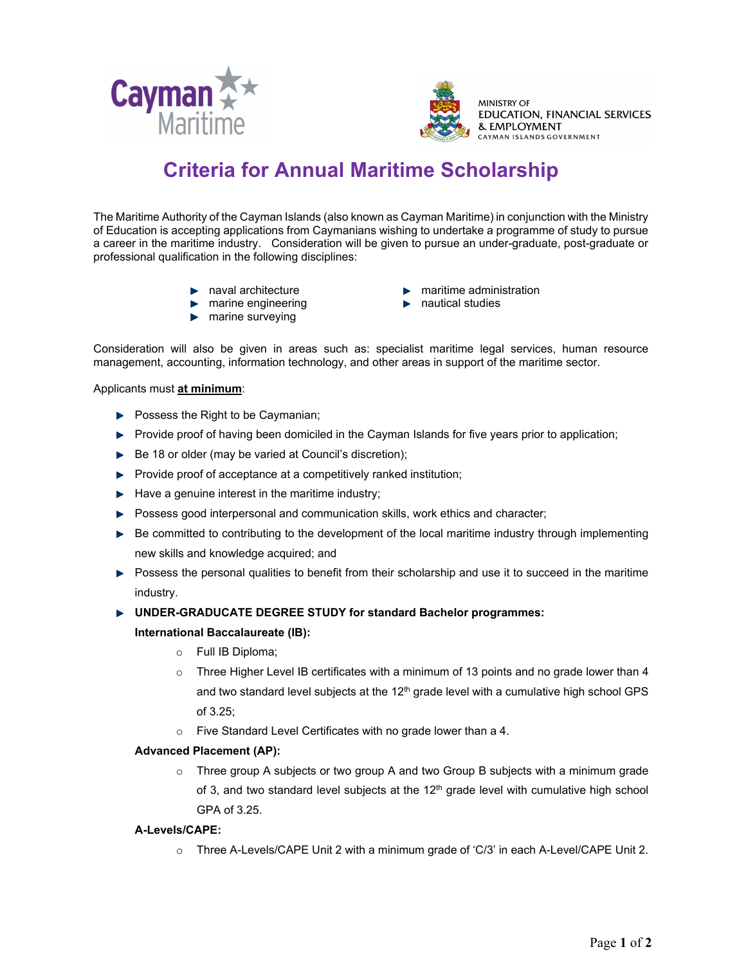



# **Criteria for Annual Maritime Scholarship**

The Maritime Authority of the Cayman Islands (also known as Cayman Maritime) in conjunction with the Ministry of Education is accepting applications from Caymanians wishing to undertake a programme of study to pursue a career in the maritime industry. Consideration will be given to pursue an under-graduate, post-graduate or professional qualification in the following disciplines:

- **naval architecture**
- $\blacktriangleright$  marine engineering
- $\blacktriangleright$  marine surveying
- $\blacktriangleright$  maritime administration
- $\blacktriangleright$  nautical studies

Consideration will also be given in areas such as: specialist maritime legal services, human resource management, accounting, information technology, and other areas in support of the maritime sector.

Applicants must **at minimum**:

- $\blacktriangleright$  Possess the Right to be Caymanian;
- **Provide proof of having been domiciled in the Cayman Islands for five years prior to application;**
- Be 18 or older (may be varied at Council's discretion);
- $\blacktriangleright$  Provide proof of acceptance at a competitively ranked institution;
- $\blacktriangleright$  Have a genuine interest in the maritime industry;
- Possess good interpersonal and communication skills, work ethics and character;
- $\blacktriangleright$  Be committed to contributing to the development of the local maritime industry through implementing new skills and knowledge acquired; and
- $\blacktriangleright$  Possess the personal qualities to benefit from their scholarship and use it to succeed in the maritime industry.

# **UNDER-GRADUCATE DEGREE STUDY for standard Bachelor programmes:**

#### **International Baccalaureate (IB):**

- o Full IB Diploma;
- $\circ$  Three Higher Level IB certificates with a minimum of 13 points and no grade lower than 4 and two standard level subjects at the  $12<sup>th</sup>$  grade level with a cumulative high school GPS of 3.25;
- o Five Standard Level Certificates with no grade lower than a 4.

# **Advanced Placement (AP):**

o Three group A subjects or two group A and two Group B subjects with a minimum grade of 3, and two standard level subjects at the  $12<sup>th</sup>$  grade level with cumulative high school GPA of 3.25.

# **A-Levels/CAPE:**

 $\circ$  Three A-Levels/CAPE Unit 2 with a minimum grade of 'C/3' in each A-Level/CAPE Unit 2.